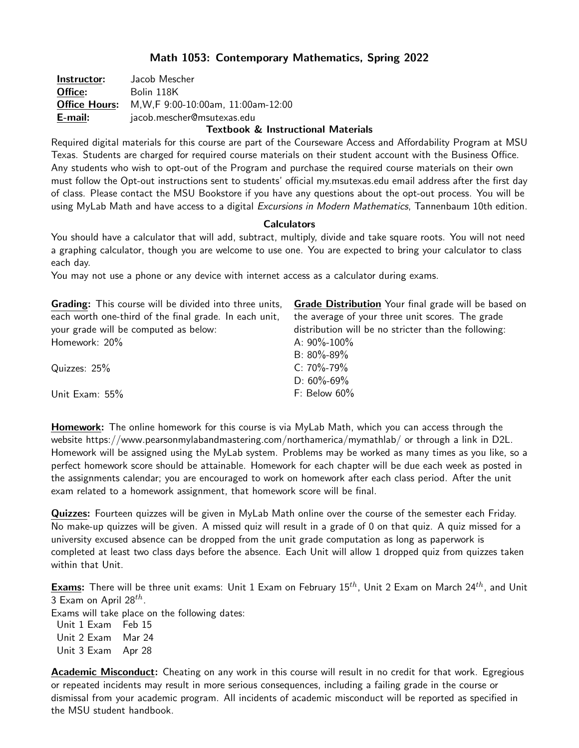# Math 1053: Contemporary Mathematics, Spring 2022

| Instructor:          | Jacob Mescher                       |
|----------------------|-------------------------------------|
| Office:              | Bolin 118K                          |
| <b>Office Hours:</b> | M, W, F 9:00-10:00am, 11:00am-12:00 |
| E-mail:              | jacob.mescher@msutexas.edu          |
|                      |                                     |

## Textbook & Instructional Materials

Required digital materials for this course are part of the Courseware Access and Affordability Program at MSU Texas. Students are charged for required course materials on their student account with the Business Office. Any students who wish to opt-out of the Program and purchase the required course materials on their own must follow the Opt-out instructions sent to students' official my.msutexas.edu email address after the first day of class. Please contact the MSU Bookstore if you have any questions about the opt-out process. You will be using MyLab Math and have access to a digital Excursions in Modern Mathematics, Tannenbaum 10th edition.

### **Calculators**

You should have a calculator that will add, subtract, multiply, divide and take square roots. You will not need a graphing calculator, though you are welcome to use one. You are expected to bring your calculator to class each day.

You may not use a phone or any device with internet access as a calculator during exams.

| <b>Grading:</b> This course will be divided into three units, | <b>Grade Distribution</b> Your final grade will be based on |
|---------------------------------------------------------------|-------------------------------------------------------------|
| each worth one-third of the final grade. In each unit,        | the average of your three unit scores. The grade            |
| your grade will be computed as below:                         | distribution will be no stricter than the following:        |
| Homework: 20%                                                 | A: $90\% - 100\%$                                           |
|                                                               | B: $80\% - 89\%$                                            |
| Quizzes: 25%                                                  | $C: 70\% - 79\%$                                            |
|                                                               | D: $60\% - 69\%$                                            |
| Unit Exam: 55%                                                | F: Below $60\%$                                             |

**Homework:** The online homework for this course is via MyLab Math, which you can access through the website https://www.pearsonmylabandmastering.com/northamerica/mymathlab/ or through a link in D2L. Homework will be assigned using the MyLab system. Problems may be worked as many times as you like, so a perfect homework score should be attainable. Homework for each chapter will be due each week as posted in the assignments calendar; you are encouraged to work on homework after each class period. After the unit exam related to a homework assignment, that homework score will be final.

Quizzes: Fourteen quizzes will be given in MyLab Math online over the course of the semester each Friday. No make-up quizzes will be given. A missed quiz will result in a grade of 0 on that quiz. A quiz missed for a university excused absence can be dropped from the unit grade computation as long as paperwork is completed at least two class days before the absence. Each Unit will allow 1 dropped quiz from quizzes taken within that Unit.

**Exams:** There will be three unit exams: Unit 1 Exam on February  $15^{th}$ , Unit 2 Exam on March 24<sup>th</sup>, and Unit 3 Exam on April 28 $^{th}$ .

Exams will take place on the following dates:

Unit 1 Exam Feb 15 Unit 2 Exam Mar 24 Unit 3 Exam Apr 28

**Academic Misconduct:** Cheating on any work in this course will result in no credit for that work. Egregious or repeated incidents may result in more serious consequences, including a failing grade in the course or dismissal from your academic program. All incidents of academic misconduct will be reported as specified in the MSU student handbook.